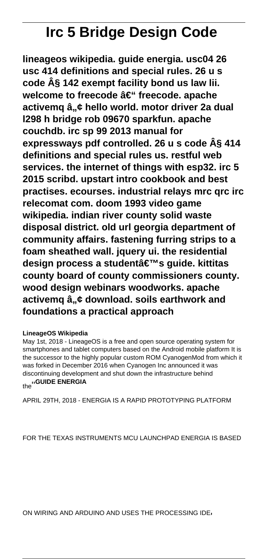# **Irc 5 Bridge Design Code**

**lineageos wikipedia. guide energia. usc04 26 usc 414 definitions and special rules. 26 u s code § 142 exempt facility bond us law lii.** welcome to freecode â€<sup>"</sup> freecode. apache activemq â"¢ hello world. motor driver 2a dual **l298 h bridge rob 09670 sparkfun. apache couchdb. irc sp 99 2013 manual for expressways pdf controlled. 26 u s code § 414 definitions and special rules us. restful web services. the internet of things with esp32. irc 5 2015 scribd. upstart intro cookbook and best practises. ecourses. industrial relays mrc qrc irc relecomat com. doom 1993 video game wikipedia. indian river county solid waste disposal district. old url georgia department of community affairs. fastening furring strips to a foam sheathed wall. jquery ui. the residential** design process a student's quide. kittitas **county board of county commissioners county. wood design webinars woodworks. apache** activemq  $\hat{a}_{n}$ ¢ download. soils earthwork and **foundations a practical approach**

#### **LineageOS Wikipedia**

May 1st, 2018 - LineageOS is a free and open source operating system for smartphones and tablet computers based on the Android mobile platform It is the successor to the highly popular custom ROM CyanogenMod from which it was forked in December 2016 when Cyanogen Inc announced it was discontinuing development and shut down the infrastructure behind the''**GUIDE ENERGIA**

APRIL 29TH, 2018 - ENERGIA IS A RAPID PROTOTYPING PLATFORM

FOR THE TEXAS INSTRUMENTS MCU LAUNCHPAD ENERGIA IS BASED

ON WIRING AND ARDUINO AND USES THE PROCESSING IDE'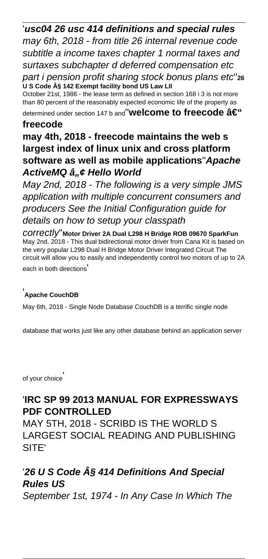'**usc04 26 usc 414 definitions and special rules** may 6th, 2018 - from title 26 internal revenue code subtitle a income taxes chapter 1 normal taxes and surtaxes subchapter d deferred compensation etc

part i pension profit sharing stock bonus plans etc''**<sup>26</sup> U S Code § 142 Exempt facility bond US Law LII**

October 21st, 1986 - the lease term as defined in section 168 i 3 is not more than 80 percent of the reasonably expected economic life of the property as determined under section 147 b and"**Welcome to freecode â€**"

#### **freecode**

## **may 4th, 2018 - freecode maintains the web s largest index of linux unix and cross platform software as well as mobile applications**''**Apache ActiveMQ â,,¢ Hello World**

May 2nd, 2018 - The following is a very simple JMS application with multiple concurrent consumers and producers See the Initial Configuration guide for details on how to setup your classpath

correctly''**Motor Driver 2A Dual L298 H Bridge ROB 09670 SparkFun** May 2nd, 2018 - This dual bidirectional motor driver from Cana Kit is based on the very popular L298 Dual H Bridge Motor Driver Integrated Circuit The circuit will allow you to easily and independently control two motors of up to 2A each in both directions'

#### '**Apache CouchDB**

May 6th, 2018 - Single Node Database CouchDB is a terrific single node

database that works just like any other database behind an application server

of your choice'

## '**IRC SP 99 2013 MANUAL FOR EXPRESSWAYS PDF CONTROLLED**

MAY 5TH, 2018 - SCRIBD IS THE WORLD S LARGEST SOCIAL READING AND PUBLISHING SITE'

## '**26 U S Code § 414 Definitions And Special Rules US**

September 1st, 1974 - In Any Case In Which The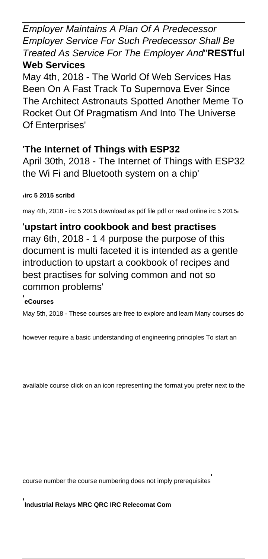Employer Maintains A Plan Of A Predecessor Employer Service For Such Predecessor Shall Be Treated As Service For The Employer And''**RESTful Web Services**

May 4th, 2018 - The World Of Web Services Has Been On A Fast Track To Supernova Ever Since The Architect Astronauts Spotted Another Meme To Rocket Out Of Pragmatism And Into The Universe Of Enterprises'

## '**The Internet of Things with ESP32**

April 30th, 2018 - The Internet of Things with ESP32 the Wi Fi and Bluetooth system on a chip'

#### '**irc 5 2015 scribd**

may 4th, 2018 - irc 5 2015 download as pdf file pdf or read online irc 5 2015<sup>1</sup>

'**upstart intro cookbook and best practises** may 6th, 2018 - 1 4 purpose the purpose of this document is multi faceted it is intended as a gentle introduction to upstart a cookbook of recipes and best practises for solving common and not so common problems'

### '**eCourses**

May 5th, 2018 - These courses are free to explore and learn Many courses do

however require a basic understanding of engineering principles To start an

available course click on an icon representing the format you prefer next to the

course number the course numbering does not imply prerequisites'

'**Industrial Relays MRC QRC IRC Relecomat Com**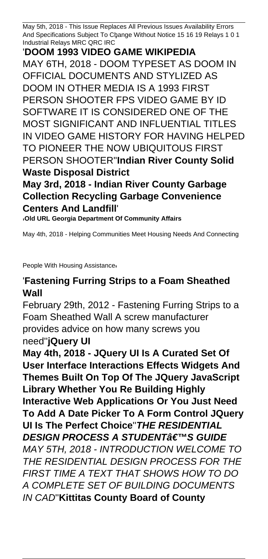May 5th, 2018 - This Issue Replaces All Previous Issues Availability Errors And Specifications Subject To Change Without Notice 15 16 19 Relays 1 0 1 Industrial Relays MRC QRC IRC'

'**DOOM 1993 VIDEO GAME WIKIPEDIA** MAY 6TH, 2018 - DOOM TYPESET AS DOOM IN OFFICIAL DOCUMENTS AND STYLIZED AS DOOM IN OTHER MEDIA IS A 1993 FIRST PERSON SHOOTER FPS VIDEO GAME BY ID SOFTWARE IT IS CONSIDERED ONE OF THE MOST SIGNIFICANT AND INFLUENTIAL TITLES IN VIDEO GAME HISTORY FOR HAVING HELPED TO PIONEER THE NOW UBIQUITOUS FIRST PERSON SHOOTER''**Indian River County Solid Waste Disposal District**

**May 3rd, 2018 - Indian River County Garbage Collection Recycling Garbage Convenience Centers And Landfill**'

'**Old URL Georgia Department Of Community Affairs**

May 4th, 2018 - Helping Communities Meet Housing Needs And Connecting

People With Housing Assistance

## '**Fastening Furring Strips to a Foam Sheathed Wall**

February 29th, 2012 - Fastening Furring Strips to a Foam Sheathed Wall A screw manufacturer provides advice on how many screws you need''**jQuery UI**

**May 4th, 2018 - JQuery UI Is A Curated Set Of User Interface Interactions Effects Widgets And Themes Built On Top Of The JQuery JavaScript Library Whether You Re Building Highly Interactive Web Applications Or You Just Need To Add A Date Picker To A Form Control JQuery UI Is The Perfect Choice**''**THE RESIDENTIAL DESIGN PROCESS A STUDENT'S GUIDE** MAY 5TH, 2018 - INTRODUCTION WELCOME TO THE RESIDENTIAL DESIGN PROCESS FOR THE FIRST TIME A TEXT THAT SHOWS HOW TO DO A COMPLETE SET OF BUILDING DOCUMENTS IN CAD''**Kittitas County Board of County**